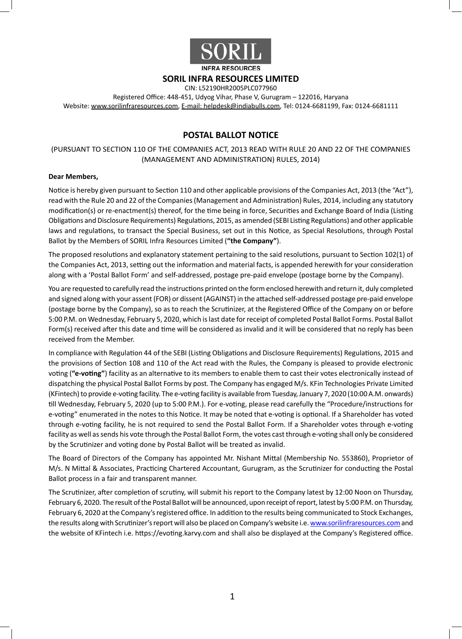

## **SORIL INFRA RESOURCES LIMITED**

CIN: L52190HR2005PLC077960

Registered Office: 448-451, Udyog Vihar, Phase V, Gurugram – 122016, Haryana Website: www.sorilinfraresources.com, E-mail: helpdesk@indiabulls.com, Tel: 0124-6681199, Fax: 0124-6681111

# **POSTAL BALLOT NOTICE**

(PURSUANT TO SECTION 110 OF THE COMPANIES ACT, 2013 READ WITH RULE 20 AND 22 OF THE COMPANIES (MANAGEMENT AND ADMINISTRATION) RULES, 2014)

#### **Dear Members,**

Notice is hereby given pursuant to Section 110 and other applicable provisions of the Companies Act, 2013 (the "Act"), read with the Rule 20 and 22 of the Companies (Management and Administration) Rules, 2014, including any statutory modification(s) or re-enactment(s) thereof, for the time being in force, Securities and Exchange Board of India (Listing Obligations and Disclosure Requirements) Regulations, 2015, as amended (SEBI Listing Regulations) and other applicable laws and regulations, to transact the Special Business, set out in this Notice, as Special Resolutions, through Postal Ballot by the Members of SORIL Infra Resources Limited (**"the Company"**).

The proposed resolutions and explanatory statement pertaining to the said resolutions, pursuant to Section 102(1) of the Companies Act, 2013, setting out the information and material facts, is appended herewith for your consideration along with a 'Postal Ballot Form' and self-addressed, postage pre-paid envelope (postage borne by the Company).

You are requested to carefully read the instructions printed on the form enclosed herewith and return it, duly completed and signed along with your assent (FOR) or dissent (AGAINST) in the attached self-addressed postage pre-paid envelope (postage borne by the Company), so as to reach the Scrutinizer, at the Registered Office of the Company on or before 5:00 P.M. on Wednesday, February 5, 2020, which is last date for receipt of completed Postal Ballot Forms. Postal Ballot Form(s) received after this date and time will be considered as invalid and it will be considered that no reply has been received from the Member.

In compliance with Regulation 44 of the SEBI (Listing Obligations and Disclosure Requirements) Regulations, 2015 and the provisions of Section 108 and 110 of the Act read with the Rules, the Company is pleased to provide electronic voting (**"e-voting"**) facility as an alternative to its members to enable them to cast their votes electronically instead of dispatching the physical Postal Ballot Forms by post. The Company has engaged M/s. KFin Technologies Private Limited (KFintech) to provide e-voting facility. The e-voting facility is available from Tuesday, January 7, 2020 (10:00 A.M. onwards) till Wednesday, February 5, 2020 (up to 5:00 P.M.). For e-voting, please read carefully the "Procedure/instructions for e-voting" enumerated in the notes to this Notice. It may be noted that e-voting is optional. If a Shareholder has voted through e-voting facility, he is not required to send the Postal Ballot Form. If a Shareholder votes through e-voting facility as well as sends his vote through the Postal Ballot Form, the votes cast through e-voting shall only be considered by the Scrutinizer and voting done by Postal Ballot will be treated as invalid.

The Board of Directors of the Company has appointed Mr. Nishant Mittal (Membership No. 553860), Proprietor of M/s. N Mittal & Associates, Practicing Chartered Accountant, Gurugram, as the Scrutinizer for conducting the Postal Ballot process in a fair and transparent manner.

The Scrutinizer, after completion of scrutiny, will submit his report to the Company latest by 12:00 Noon on Thursday, February 6, 2020. The result of the Postal Ballot will be announced, upon receipt of report, latest by 5:00 P.M. on Thursday, February 6, 2020 at the Company's registered office. In addition to the results being communicated to Stock Exchanges, the results along with Scrutinizer's report will also be placed on Company's website i.e. www.sorilinfraresources.com and the website of KFintech i.e. https://evoting.karvy.com and shall also be displayed at the Company's Registered office.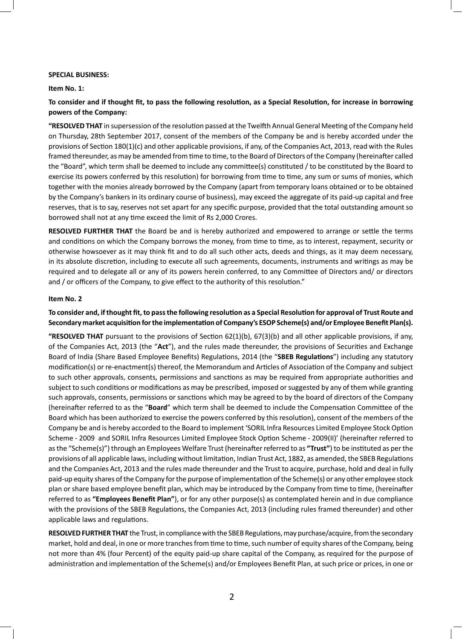#### **SPECIAL BUSINESS:**

**Item No. 1:**

**To consider and if thought fit, to pass the following resolution, as a Special Resolution, for increase in borrowing powers of the Company:**

**"RESOLVED THAT** in supersession of the resolution passed at the Twelfth Annual General Meeting of the Company held on Thursday, 28th September 2017, consent of the members of the Company be and is hereby accorded under the provisions of Section 180(1)(c) and other applicable provisions, if any, of the Companies Act, 2013, read with the Rules framed thereunder, as may be amended from time to time, to the Board of Directors of the Company (hereinafter called the "Board", which term shall be deemed to include any committee(s) constituted / to be constituted by the Board to exercise its powers conferred by this resolution) for borrowing from time to time, any sum or sums of monies, which together with the monies already borrowed by the Company (apart from temporary loans obtained or to be obtained by the Company's bankers in its ordinary course of business), may exceed the aggregate of its paid-up capital and free reserves, that is to say, reserves not set apart for any specific purpose, provided that the total outstanding amount so borrowed shall not at any time exceed the limit of Rs 2,000 Crores.

**RESOLVED FURTHER THAT** the Board be and is hereby authorized and empowered to arrange or settle the terms and conditions on which the Company borrows the money, from time to time, as to interest, repayment, security or otherwise howsoever as it may think fit and to do all such other acts, deeds and things, as it may deem necessary, in its absolute discretion, including to execute all such agreements, documents, instruments and writings as may be required and to delegate all or any of its powers herein conferred, to any Committee of Directors and/ or directors and / or officers of the Company, to give effect to the authority of this resolution."

#### **Item No. 2**

**To consider and, if thought fit, to pass the following resolution as a Special Resolution for approval of Trust Route and Secondary market acquisition for the implementation of Company's ESOP Scheme(s) and/or Employee Benefit Plan(s).**

**"RESOLVED THAT** pursuant to the provisions of Section 62(1)(b), 67(3)(b) and all other applicable provisions, if any, of the Companies Act, 2013 (the "**Act**"), and the rules made thereunder, the provisions of Securities and Exchange Board of India (Share Based Employee Benefits) Regulations, 2014 (the "**SBEB Regulations**") including any statutory modification(s) or re-enactment(s) thereof, the Memorandum and Articles of Association of the Company and subject to such other approvals, consents, permissions and sanctions as may be required from appropriate authorities and subject to such conditions or modifications as may be prescribed, imposed or suggested by any of them while granting such approvals, consents, permissions or sanctions which may be agreed to by the board of directors of the Company (hereinafter referred to as the "**Board**" which term shall be deemed to include the Compensation Committee of the Board which has been authorized to exercise the powers conferred by this resolution), consent of the members of the Company be and is hereby accorded to the Board to implement 'SORIL Infra Resources Limited Employee Stock Option Scheme - 2009 and SORIL Infra Resources Limited Employee Stock Option Scheme - 2009(II)' (hereinafter referred to as the "Scheme(s)") through an Employees Welfare Trust (hereinafter referred to as **"Trust"**) to be instituted as per the provisions of all applicable laws, including without limitation, Indian Trust Act, 1882, as amended, the SBEB Regulations and the Companies Act, 2013 and the rules made thereunder and the Trust to acquire, purchase, hold and deal in fully paid-up equity shares of the Company for the purpose of implementation of the Scheme(s) or any other employee stock plan or share based employee benefit plan, which may be introduced by the Company from time to time, (hereinafter referred to as **"Employees Benefit Plan"**), or for any other purpose(s) as contemplated herein and in due compliance with the provisions of the SBEB Regulations, the Companies Act, 2013 (including rules framed thereunder) and other applicable laws and regulations.

**RESOLVED FURTHER THAT** the Trust, in compliance with the SBEB Regulations, may purchase/acquire, from the secondary market, hold and deal, in one or more tranches from time to time, such number of equity shares of the Company, being not more than 4% (four Percent) of the equity paid-up share capital of the Company, as required for the purpose of administration and implementation of the Scheme(s) and/or Employees Benefit Plan, at such price or prices, in one or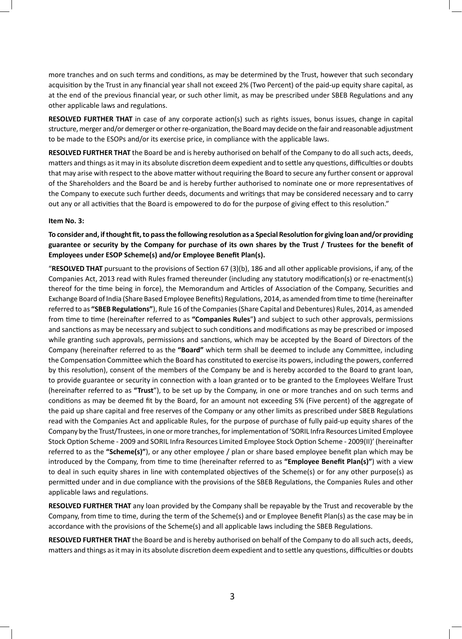more tranches and on such terms and conditions, as may be determined by the Trust, however that such secondary acquisition by the Trust in any financial year shall not exceed 2% (Two Percent) of the paid-up equity share capital, as at the end of the previous financial year, or such other limit, as may be prescribed under SBEB Regulations and any other applicable laws and regulations.

**RESOLVED FURTHER THAT** in case of any corporate action(s) such as rights issues, bonus issues, change in capital structure, merger and/or demerger or other re-organization, the Board may decide on the fair and reasonable adjustment to be made to the ESOPs and/or its exercise price, in compliance with the applicable laws.

**RESOLVED FURTHER THAT** the Board be and is hereby authorised on behalf of the Company to do all such acts, deeds, matters and things as it may in its absolute discretion deem expedient and to settle any questions, difficulties or doubts that may arise with respect to the above matter without requiring the Board to secure any further consent or approval of the Shareholders and the Board be and is hereby further authorised to nominate one or more representatives of the Company to execute such further deeds, documents and writings that may be considered necessary and to carry out any or all activities that the Board is empowered to do for the purpose of giving effect to this resolution."

### **Item No. 3:**

# **To consider and, if thought fit, to pass the following resolution as a Special Resolution for giving loan and/or providing guarantee or security by the Company for purchase of its own shares by the Trust / Trustees for the benefit of Employees under ESOP Scheme(s) and/or Employee Benefit Plan(s).**

"**RESOLVED THAT** pursuant to the provisions of Section 67 (3)(b), 186 and all other applicable provisions, if any, of the Companies Act, 2013 read with Rules framed thereunder (including any statutory modification(s) or re-enactment(s) thereof for the time being in force), the Memorandum and Articles of Association of the Company, Securities and Exchange Board of India (Share Based Employee Benefits) Regulations, 2014, as amended from time to time (hereinafter referred to as **"SBEB Regulations"**), Rule 16 of the Companies (Share Capital and Debentures) Rules, 2014, as amended from time to time (hereinafter referred to as **"Companies Rules**"**)** and subject to such other approvals, permissions and sanctions as may be necessary and subject to such conditions and modifications as may be prescribed or imposed while granting such approvals, permissions and sanctions, which may be accepted by the Board of Directors of the Company (hereinafter referred to as the **"Board"** which term shall be deemed to include any Committee, including the Compensation Committee which the Board has constituted to exercise its powers, including the powers, conferred by this resolution), consent of the members of the Company be and is hereby accorded to the Board to grant loan, to provide guarantee or security in connection with a loan granted or to be granted to the Employees Welfare Trust (hereinafter referred to as **"Trust**"), to be set up by the Company, in one or more tranches and on such terms and conditions as may be deemed fit by the Board, for an amount not exceeding 5% (Five percent) of the aggregate of the paid up share capital and free reserves of the Company or any other limits as prescribed under SBEB Regulations read with the Companies Act and applicable Rules, for the purpose of purchase of fully paid-up equity shares of the Company by the Trust/Trustees, in one or more tranches, for implementation of 'SORIL Infra Resources Limited Employee Stock Option Scheme - 2009 and SORIL Infra Resources Limited Employee Stock Option Scheme - 2009(II)' (hereinafter referred to as the **"Scheme(s)"**), or any other employee / plan or share based employee benefit plan which may be introduced by the Company, from time to time (hereinafter referred to as **"Employee Benefit Plan(s)"**) with a view to deal in such equity shares in line with contemplated objectives of the Scheme(s) or for any other purpose(s) as permitted under and in due compliance with the provisions of the SBEB Regulations, the Companies Rules and other applicable laws and regulations.

**RESOLVED FURTHER THAT** any loan provided by the Company shall be repayable by the Trust and recoverable by the Company, from time to time, during the term of the Scheme(s) and or Employee Benefit Plan(s) as the case may be in accordance with the provisions of the Scheme(s) and all applicable laws including the SBEB Regulations.

**RESOLVED FURTHER THAT** the Board be and is hereby authorised on behalf of the Company to do all such acts, deeds, matters and things as it may in its absolute discretion deem expedient and to settle any questions, difficulties or doubts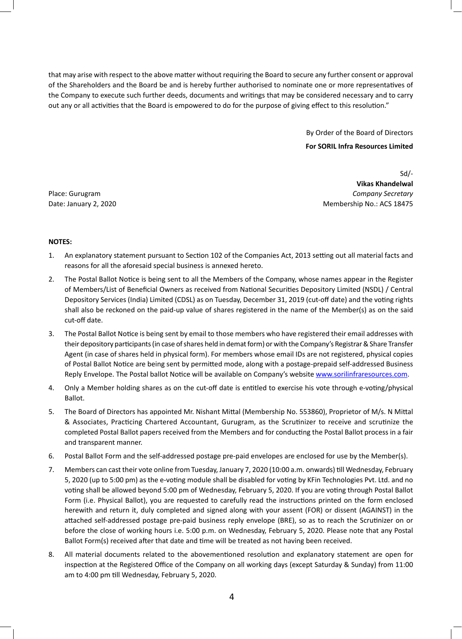that may arise with respect to the above matter without requiring the Board to secure any further consent or approval of the Shareholders and the Board be and is hereby further authorised to nominate one or more representatives of the Company to execute such further deeds, documents and writings that may be considered necessary and to carry out any or all activities that the Board is empowered to do for the purpose of giving effect to this resolution."

By Order of the Board of Directors

### **For SORIL Infra Resources Limited**

Sd/- **Vikas Khandelwal** Place: Gurugram *Company Secretary* Date: January 2, 2020 Membership No.: ACS 18475

## **NOTES:**

- 1. An explanatory statement pursuant to Section 102 of the Companies Act, 2013 setting out all material facts and reasons for all the aforesaid special business is annexed hereto.
- 2. The Postal Ballot Notice is being sent to all the Members of the Company, whose names appear in the Register of Members/List of Beneficial Owners as received from National Securities Depository Limited (NSDL) / Central Depository Services (India) Limited (CDSL) as on Tuesday, December 31, 2019 (cut-off date) and the voting rights shall also be reckoned on the paid-up value of shares registered in the name of the Member(s) as on the said cut-off date.
- 3. The Postal Ballot Notice is being sent by email to those members who have registered their email addresses with their depository participants (in case of shares held in demat form) or with the Company's Registrar & Share Transfer Agent (in case of shares held in physical form). For members whose email IDs are not registered, physical copies of Postal Ballot Notice are being sent by permitted mode, along with a postage-prepaid self-addressed Business Reply Envelope. The Postal ballot Notice will be available on Company's website www.sorilinfraresources.com.
- 4. Only a Member holding shares as on the cut-off date is entitled to exercise his vote through e-voting/physical Ballot.
- 5. The Board of Directors has appointed Mr. Nishant Mittal (Membership No. 553860), Proprietor of M/s. N Mittal & Associates, Practicing Chartered Accountant, Gurugram, as the Scrutinizer to receive and scrutinize the completed Postal Ballot papers received from the Members and for conducting the Postal Ballot process in a fair and transparent manner.
- 6. Postal Ballot Form and the self-addressed postage pre-paid envelopes are enclosed for use by the Member(s).
- 7. Members can cast their vote online from Tuesday, January 7, 2020 (10:00 a.m. onwards) till Wednesday, February 5, 2020 (up to 5:00 pm) as the e-voting module shall be disabled for voting by KFin Technologies Pvt. Ltd. and no voting shall be allowed beyond 5:00 pm of Wednesday, February 5, 2020. If you are voting through Postal Ballot Form (i.e. Physical Ballot), you are requested to carefully read the instructions printed on the form enclosed herewith and return it, duly completed and signed along with your assent (FOR) or dissent (AGAINST) in the attached self-addressed postage pre-paid business reply envelope (BRE), so as to reach the Scrutinizer on or before the close of working hours i.e. 5:00 p.m. on Wednesday, February 5, 2020. Please note that any Postal Ballot Form(s) received after that date and time will be treated as not having been received.
- 8. All material documents related to the abovementioned resolution and explanatory statement are open for inspection at the Registered Office of the Company on all working days (except Saturday & Sunday) from 11:00 am to 4:00 pm till Wednesday, February 5, 2020.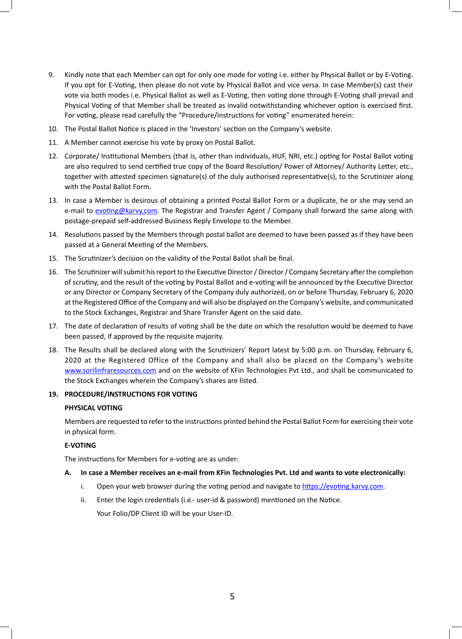- 9. Kindly note that each Member can opt for only one mode for voting i.e. either by Physical Ballot or by E-Voting. If you opt for E-Voting, then please do not vote by Physical Ballot and vice versa. In case Member(s) cast their vote via both modes i.e. Physical Ballot as well as E-Voting, then voting done through E-Voting shall prevail and Physical Voting of that Member shall be treated as invalid notwithstanding whichever option is exercised first. For voting, please read carefully the "Procedure/instructions for voting" enumerated herein:
- 10. The Postal Ballot Notice is placed in the 'Investors' section on the Company's website.
- 11. A Member cannot exercise his vote by proxy on Postal Ballot.
- 12. Corporate/ Institutional Members (that is, other than individuals, HUF, NRI, etc.) opting for Postal Ballot voting are also required to send certified true copy of the Board Resolution/ Power of Attorney/ Authority Letter, etc., together with attested specimen signature(s) of the duly authorised representative(s), to the Scrutinizer along with the Postal Ballot Form.
- 13. In case a Member is desirous of obtaining a printed Postal Ballot Form or a duplicate, he or she may send an e-mail to evoting@karvy.com. The Registrar and Transfer Agent / Company shall forward the same along with postage-prepaid self-addressed Business Reply Envelope to the Member.
- 14. Resolutions passed by the Members through postal ballot are deemed to have been passed as if they have been passed at a General Meeting of the Members.
- 15. The Scrutinizer's decision on the validity of the Postal Ballot shall be final.
- 16. The Scrutinizer will submit his report to the Executive Director / Director / Company Secretary after the completion of scrutiny, and the result of the voting by Postal Ballot and e-voting will be announced by the Executive Director or any Director or Company Secretary of the Company duly authorized, on or before Thursday, February 6, 2020 at the Registered Office of the Company and will also be displayed on the Company's website, and communicated to the Stock Exchanges, Registrar and Share Transfer Agent on the said date.
- 17. The date of declaration of results of voting shall be the date on which the resolution would be deemed to have been passed, if approved by the requisite majority.
- 18. The Results shall be declared along with the Scrutinizers' Report latest by 5:00 p.m. on Thursday, February 6, 2020 at the Registered Office of the Company and shall also be placed on the Company's website www.sorilinfraresources.com and on the website of KFin Technologies Pvt Ltd., and shall be communicated to the Stock Exchanges wherein the Company's shares are listed.

### **19. PROCEDURE/INSTRUCTIONS FOR VOTING**

#### **PHYSICAL VOTING**

Members are requested to refer to the instructions printed behind the Postal Ballot Form for exercising their vote in physical form.

## **E-VOTING**

The instructions for Members for e-voting are as under:

#### **A. In case a Member receives an e-mail from KFin Technologies Pvt. Ltd and wants to vote electronically:**

- i. Open your web browser during the voting period and navigate to https://evoting.karvy.com.
- ii. Enter the login credentials (i.e.- user-id & password) mentioned on the Notice.

Your Folio/DP Client ID will be your User-ID.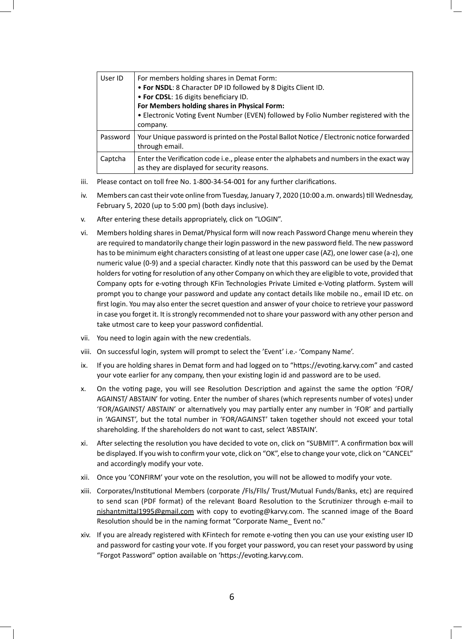| User ID  | For members holding shares in Demat Form:<br>. For NSDL: 8 Character DP ID followed by 8 Digits Client ID.<br>• For CDSL: 16 digits beneficiary ID.<br>For Members holding shares in Physical Form:<br>. Electronic Voting Event Number (EVEN) followed by Folio Number registered with the<br>company. |
|----------|---------------------------------------------------------------------------------------------------------------------------------------------------------------------------------------------------------------------------------------------------------------------------------------------------------|
| Password | Your Unique password is printed on the Postal Ballot Notice / Electronic notice forwarded<br>through email.                                                                                                                                                                                             |
| Captcha  | Enter the Verification code i.e., please enter the alphabets and numbers in the exact way<br>as they are displayed for security reasons.                                                                                                                                                                |

- iii. Please contact on toll free No. 1-800-34-54-001 for any further clarifications.
- iv. Members can cast their vote online from Tuesday, January 7, 2020 (10:00 a.m. onwards) till Wednesday, February 5, 2020 (up to 5:00 pm) (both days inclusive).
- v. After entering these details appropriately, click on "LOGIN".
- vi. Members holding shares in Demat/Physical form will now reach Password Change menu wherein they are required to mandatorily change their login password in the new password field. The new password has to be minimum eight characters consisting of at least one upper case (AZ), one lower case (a-z), one numeric value (0-9) and a special character. Kindly note that this password can be used by the Demat holders for voting for resolution of any other Company on which they are eligible to vote, provided that Company opts for e-voting through KFin Technologies Private Limited e-Voting platform. System will prompt you to change your password and update any contact details like mobile no., email ID etc. on first login. You may also enter the secret question and answer of your choice to retrieve your password in case you forget it. It is strongly recommended not to share your password with any other person and take utmost care to keep your password confidential.
- vii. You need to login again with the new credentials.
- viii. On successful login, system will prompt to select the 'Event' i.e.- 'Company Name'.
- ix. If you are holding shares in Demat form and had logged on to "https://evoting.karvy.com" and casted your vote earlier for any company, then your existing login id and password are to be used.
- x. On the voting page, you will see Resolution Description and against the same the option 'FOR/ AGAINST/ ABSTAIN' for voting. Enter the number of shares (which represents number of votes) under 'FOR/AGAINST/ ABSTAIN' or alternatively you may partially enter any number in 'FOR' and partially in 'AGAINST', but the total number in 'FOR/AGAINST' taken together should not exceed your total shareholding. If the shareholders do not want to cast, select 'ABSTAIN'.
- xi. After selecting the resolution you have decided to vote on, click on "SUBMIT". A confirmation box will be displayed. If you wish to confirm your vote, click on "OK", else to change your vote, click on "CANCEL" and accordingly modify your vote.
- xii. Once you 'CONFIRM' your vote on the resolution, you will not be allowed to modify your vote.
- xiii. Corporates/Institutional Members (corporate /Fls/Flls/ Trust/Mutual Funds/Banks, etc) are required to send scan (PDF format) of the relevant Board Resolution to the Scrutinizer through e-mail to nishantmittal1995@gmail.com with copy to evoting@karvy.com. The scanned image of the Board Resolution should be in the naming format "Corporate Name Event no."
- xiv. If you are already registered with KFintech for remote e-voting then you can use your existing user ID and password for casting your vote. If you forget your password, you can reset your password by using "Forgot Password" option available on 'https://evoting.karvy.com.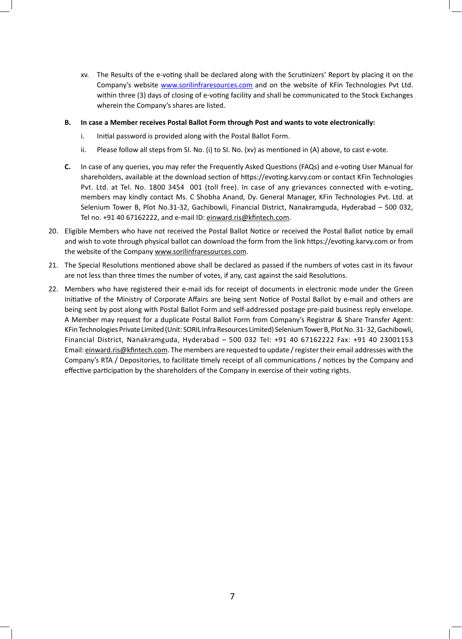xv. The Results of the e-voting shall be declared along with the Scrutinizers' Report by placing it on the Company's website www.sorilinfraresources.com and on the website of KFin Technologies Pvt Ltd. within three (3) days of closing of e-voting facility and shall be communicated to the Stock Exchanges wherein the Company's shares are listed.

### **B. In case a Member receives Postal Ballot Form through Post and wants to vote electronically:**

- i. Initial password is provided along with the Postal Ballot Form.
- ii. Please follow all steps from SI. No. (i) to SI. No. (xv) as mentioned in (A) above, to cast e-vote.
- **C.** In case of any queries, you may refer the Frequently Asked Questions (FAQs) and e-voting User Manual for shareholders, available at the download section of https://evoting.karvy.com or contact KFin Technologies Pvt. Ltd. at Tel. No. 1800 3454 001 (toll free). In case of any grievances connected with e-voting, members may kindly contact Ms. C Shobha Anand, Dy. General Manager, KFin Technologies Pvt. Ltd. at Selenium Tower B, Plot No.31-32, Gachibowli, Financial District, Nanakramguda, Hyderabad – 500 032, Tel no. +91 40 67162222, and e-mail ID: einward.ris@kfintech.com.
- 20. Eligible Members who have not received the Postal Ballot Notice or received the Postal Ballot notice by email and wish to vote through physical ballot can download the form from the link https://evoting.karvy.com or from the website of the Company www.sorilinfraresources.com.
- 21. The Special Resolutions mentioned above shall be declared as passed if the numbers of votes cast in its favour are not less than three times the number of votes, if any, cast against the said Resolutions.
- 22. Members who have registered their e-mail ids for receipt of documents in electronic mode under the Green Initiative of the Ministry of Corporate Affairs are being sent Notice of Postal Ballot by e-mail and others are being sent by post along with Postal Ballot Form and self-addressed postage pre-paid business reply envelope. A Member may request for a duplicate Postal Ballot Form from Company's Registrar & Share Transfer Agent: KFin Technologies Private Limited (Unit: SORIL Infra Resources Limited) Selenium Tower B, Plot No. 31- 32, Gachibowli, Financial District, Nanakramguda, Hyderabad – 500 032 Tel: +91 40 67162222 Fax: +91 40 23001153 Email: einward.ris@kfintech.com. The members are requested to update / register their email addresses with the Company's RTA / Depositories, to facilitate timely receipt of all communications / notices by the Company and effective participation by the shareholders of the Company in exercise of their voting rights.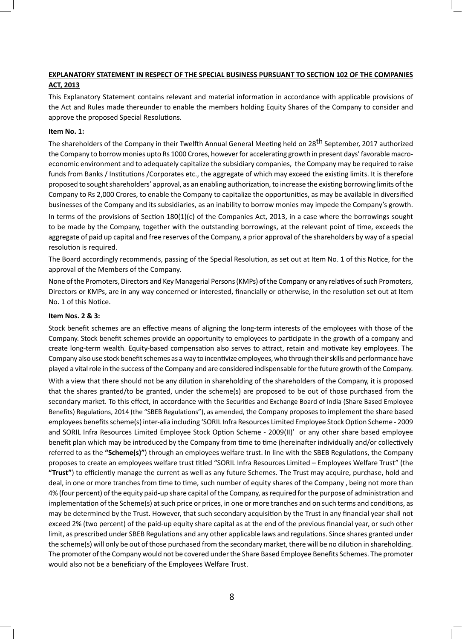## **EXPLANATORY STATEMENT IN RESPECT OF THE SPECIAL BUSINESS PURSUANT TO SECTION 102 OF THE COMPANIES ACT, 2013**

This Explanatory Statement contains relevant and material information in accordance with applicable provisions of the Act and Rules made thereunder to enable the members holding Equity Shares of the Company to consider and approve the proposed Special Resolutions.

### **Item No. 1:**

The shareholders of the Company in their Twelfth Annual General Meeting held on 28<sup>th</sup> September, 2017 authorized the Company to borrow monies upto Rs 1000 Crores, however for accelerating growth in present days' favorable macroeconomic environment and to adequately capitalize the subsidiary companies, the Company may be required to raise funds from Banks / Institutions / Corporates etc., the aggregate of which may exceed the existing limits. It is therefore proposed to sought shareholders' approval, as an enabling authorization, to increase the existing borrowing limits of the Company to Rs 2,000 Crores, to enable the Company to capitalize the opportunities, as may be available in diversified businesses of the Company and its subsidiaries, as an inability to borrow monies may impede the Company's growth. In terms of the provisions of Section 180(1)(c) of the Companies Act, 2013, in a case where the borrowings sought to be made by the Company, together with the outstanding borrowings, at the relevant point of time, exceeds the aggregate of paid up capital and free reserves of the Company, a prior approval of the shareholders by way of a special resolution is required.

The Board accordingly recommends, passing of the Special Resolution, as set out at Item No. 1 of this Notice, for the approval of the Members of the Company.

None of the Promoters, Directors and Key Managerial Persons (KMPs) of the Company or any relatives of such Promoters, Directors or KMPs, are in any way concerned or interested, financially or otherwise, in the resolution set out at Item No. 1 of this Notice.

#### **Item Nos. 2 & 3:**

Stock benefit schemes are an effective means of aligning the long-term interests of the employees with those of the Company. Stock benefit schemes provide an opportunity to employees to participate in the growth of a company and create long-term wealth. Equity-based compensation also serves to attract, retain and motivate key employees. The Company also use stock benefit schemes as a way to incentivize employees, who through their skills and performance have played a vital role in the success of the Company and are considered indispensable for the future growth of the Company.

With a view that there should not be any dilution in shareholding of the shareholders of the Company, it is proposed that the shares granted/to be granted, under the scheme(s) are proposed to be out of those purchased from the secondary market. To this effect, in accordance with the Securities and Exchange Board of India (Share Based Employee Benefits) Regulations, 2014 (the "SBEB Regulations"), as amended, the Company proposes to implement the share based employees benefits scheme(s) inter-alia including 'SORIL Infra Resources Limited Employee Stock Option Scheme - 2009 and SORIL Infra Resources Limited Employee Stock Option Scheme - 2009(II)' or any other share based employee benefit plan which may be introduced by the Company from time to time (hereinafter individually and/or collectively referred to as the **"Scheme(s)"**) through an employees welfare trust. In line with the SBEB Regulations, the Company proposes to create an employees welfare trust titled "SORIL Infra Resources Limited – Employees Welfare Trust" (the **"Trust"**) to efficiently manage the current as well as any future Schemes. The Trust may acquire, purchase, hold and deal, in one or more tranches from time to time, such number of equity shares of the Company , being not more than 4% (four percent) of the equity paid-up share capital of the Company, as required for the purpose of administration and implementation of the Scheme(s) at such price or prices, in one or more tranches and on such terms and conditions, as may be determined by the Trust. However, that such secondary acquisition by the Trust in any financial year shall not exceed 2% (two percent) of the paid-up equity share capital as at the end of the previous financial year, or such other limit, as prescribed under SBEB Regulations and any other applicable laws and regulations. Since shares granted under the scheme(s) will only be out of those purchased from the secondary market, there will be no dilution in shareholding. The promoter of the Company would not be covered under the Share Based Employee Benefits Schemes. The promoter would also not be a beneficiary of the Employees Welfare Trust.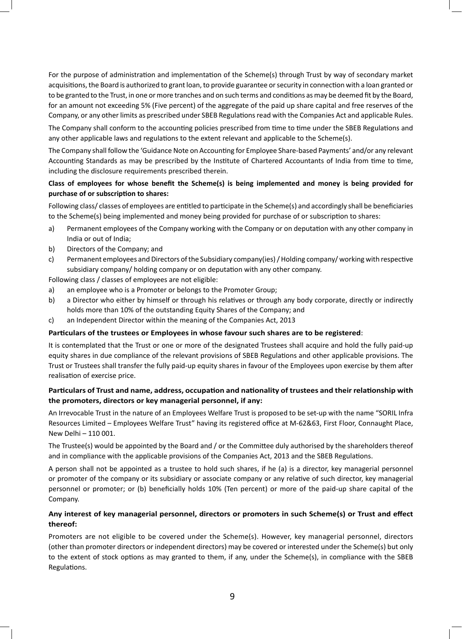For the purpose of administration and implementation of the Scheme(s) through Trust by way of secondary market acquisitions, the Board is authorized to grant loan, to provide guarantee or security in connection with a loan granted or to be granted to the Trust, in one or more tranches and on such terms and conditions as may be deemed fit by the Board, for an amount not exceeding 5% (Five percent) of the aggregate of the paid up share capital and free reserves of the Company, or any other limits as prescribed under SBEB Regulations read with the Companies Act and applicable Rules.

The Company shall conform to the accounting policies prescribed from time to time under the SBEB Regulations and any other applicable laws and regulations to the extent relevant and applicable to the Scheme(s).

The Company shall follow the 'Guidance Note on Accounting for Employee Share-based Payments' and/or any relevant Accounting Standards as may be prescribed by the Institute of Chartered Accountants of India from time to time, including the disclosure requirements prescribed therein.

# **Class of employees for whose benefit the Scheme(s) is being implemented and money is being provided for purchase of or subscription to shares:**

Following class/ classes of employees are entitled to participate in the Scheme(s) and accordingly shall be beneficiaries to the Scheme(s) being implemented and money being provided for purchase of or subscription to shares:

- a) Permanent employees of the Company working with the Company or on deputation with any other company in India or out of India;
- b) Directors of the Company; and
- c) Permanent employees and Directors of the Subsidiary company(ies) / Holding company/ working with respective subsidiary company/ holding company or on deputation with any other company.

Following class / classes of employees are not eligible:

- a) an employee who is a Promoter or belongs to the Promoter Group;
- b) a Director who either by himself or through his relatives or through any body corporate, directly or indirectly holds more than 10% of the outstanding Equity Shares of the Company; and
- c) an Independent Director within the meaning of the Companies Act, 2013

### **Particulars of the trustees or Employees in whose favour such shares are to be registered**:

It is contemplated that the Trust or one or more of the designated Trustees shall acquire and hold the fully paid-up equity shares in due compliance of the relevant provisions of SBEB Regulations and other applicable provisions. The Trust or Trustees shall transfer the fully paid-up equity shares in favour of the Employees upon exercise by them after realisation of exercise price.

# **Particulars of Trust and name, address, occupation and nationality of trustees and their relationship with the promoters, directors or key managerial personnel, if any:**

An Irrevocable Trust in the nature of an Employees Welfare Trust is proposed to be set-up with the name "SORIL Infra Resources Limited – Employees Welfare Trust" having its registered office at M-62&63, First Floor, Connaught Place, New Delhi – 110 001.

The Trustee(s) would be appointed by the Board and / or the Committee duly authorised by the shareholders thereof and in compliance with the applicable provisions of the Companies Act, 2013 and the SBEB Regulations.

A person shall not be appointed as a trustee to hold such shares, if he (a) is a director, key managerial personnel or promoter of the company or its subsidiary or associate company or any relative of such director, key managerial personnel or promoter; or (b) beneficially holds 10% (Ten percent) or more of the paid-up share capital of the Company.

# **Any interest of key managerial personnel, directors or promoters in such Scheme(s) or Trust and effect thereof:**

Promoters are not eligible to be covered under the Scheme(s). However, key managerial personnel, directors (other than promoter directors or independent directors) may be covered or interested under the Scheme(s) but only to the extent of stock options as may granted to them, if any, under the Scheme(s), in compliance with the SBEB Regulations.